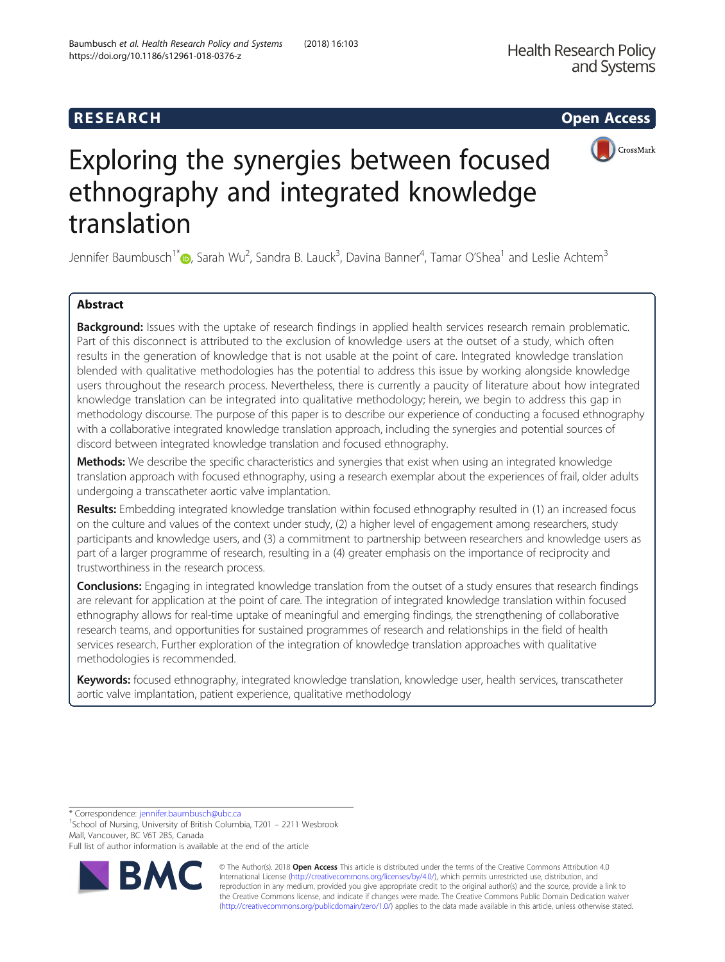## R E S EAR CH Open Access



# Exploring the synergies between focused ethnography and integrated knowledge translation

Jennifer Baumbusch<sup>1[\\*](http://orcid.org/0000-0003-3915-6881)</sup> (@, Sarah Wu<sup>2</sup>, Sandra B. Lauck<sup>3</sup>, Davina Banner<sup>4</sup>, Tamar O'Shea<sup>1</sup> and Leslie Achtem<sup>3</sup>

## Abstract

Background: Issues with the uptake of research findings in applied health services research remain problematic. Part of this disconnect is attributed to the exclusion of knowledge users at the outset of a study, which often results in the generation of knowledge that is not usable at the point of care. Integrated knowledge translation blended with qualitative methodologies has the potential to address this issue by working alongside knowledge users throughout the research process. Nevertheless, there is currently a paucity of literature about how integrated knowledge translation can be integrated into qualitative methodology; herein, we begin to address this gap in methodology discourse. The purpose of this paper is to describe our experience of conducting a focused ethnography with a collaborative integrated knowledge translation approach, including the synergies and potential sources of discord between integrated knowledge translation and focused ethnography.

Methods: We describe the specific characteristics and synergies that exist when using an integrated knowledge translation approach with focused ethnography, using a research exemplar about the experiences of frail, older adults undergoing a transcatheter aortic valve implantation.

Results: Embedding integrated knowledge translation within focused ethnography resulted in (1) an increased focus on the culture and values of the context under study, (2) a higher level of engagement among researchers, study participants and knowledge users, and (3) a commitment to partnership between researchers and knowledge users as part of a larger programme of research, resulting in a (4) greater emphasis on the importance of reciprocity and trustworthiness in the research process.

Conclusions: Engaging in integrated knowledge translation from the outset of a study ensures that research findings are relevant for application at the point of care. The integration of integrated knowledge translation within focused ethnography allows for real-time uptake of meaningful and emerging findings, the strengthening of collaborative research teams, and opportunities for sustained programmes of research and relationships in the field of health services research. Further exploration of the integration of knowledge translation approaches with qualitative methodologies is recommended.

Keywords: focused ethnography, integrated knowledge translation, knowledge user, health services, transcatheter aortic valve implantation, patient experience, qualitative methodology

\* Correspondence: [jennifer.baumbusch@ubc.ca](mailto:jennifer.baumbusch@ubc.ca) <sup>1</sup>

<sup>1</sup>School of Nursing, University of British Columbia, T201 – 2211 Wesbrook Mall, Vancouver, BC V6T 2B5, Canada

Full list of author information is available at the end of the article



© The Author(s). 2018 Open Access This article is distributed under the terms of the Creative Commons Attribution 4.0 International License [\(http://creativecommons.org/licenses/by/4.0/](http://creativecommons.org/licenses/by/4.0/)), which permits unrestricted use, distribution, and reproduction in any medium, provided you give appropriate credit to the original author(s) and the source, provide a link to the Creative Commons license, and indicate if changes were made. The Creative Commons Public Domain Dedication waiver [\(http://creativecommons.org/publicdomain/zero/1.0/](http://creativecommons.org/publicdomain/zero/1.0/)) applies to the data made available in this article, unless otherwise stated.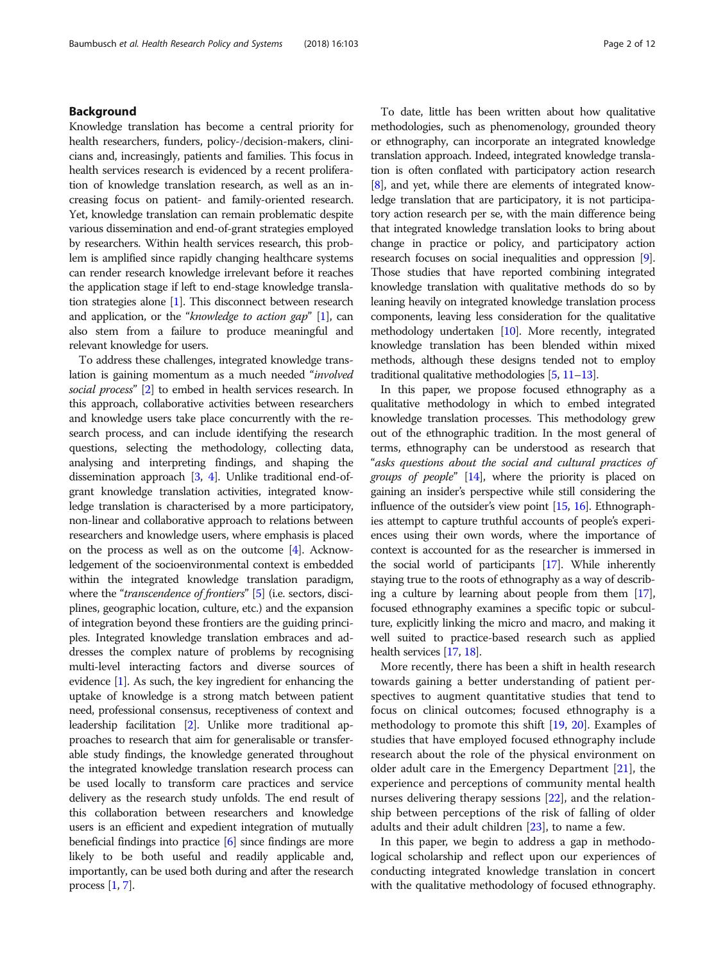## Background

Knowledge translation has become a central priority for health researchers, funders, policy-/decision-makers, clinicians and, increasingly, patients and families. This focus in health services research is evidenced by a recent proliferation of knowledge translation research, as well as an increasing focus on patient- and family-oriented research. Yet, knowledge translation can remain problematic despite various dissemination and end-of-grant strategies employed by researchers. Within health services research, this problem is amplified since rapidly changing healthcare systems can render research knowledge irrelevant before it reaches the application stage if left to end-stage knowledge translation strategies alone [[1](#page-10-0)]. This disconnect between research and application, or the "knowledge to action gap"  $[1]$ , can also stem from a failure to produce meaningful and relevant knowledge for users.

To address these challenges, integrated knowledge translation is gaining momentum as a much needed "involved social process" [\[2\]](#page-10-0) to embed in health services research. In this approach, collaborative activities between researchers and knowledge users take place concurrently with the research process, and can include identifying the research questions, selecting the methodology, collecting data, analysing and interpreting findings, and shaping the dissemination approach [[3,](#page-10-0) [4\]](#page-10-0). Unlike traditional end-ofgrant knowledge translation activities, integrated knowledge translation is characterised by a more participatory, non-linear and collaborative approach to relations between researchers and knowledge users, where emphasis is placed on the process as well as on the outcome [\[4\]](#page-10-0). Acknowledgement of the socioenvironmental context is embedded within the integrated knowledge translation paradigm, where the "*transcendence of frontiers*" [\[5\]](#page-11-0) (i.e. sectors, disciplines, geographic location, culture, etc.) and the expansion of integration beyond these frontiers are the guiding principles. Integrated knowledge translation embraces and addresses the complex nature of problems by recognising multi-level interacting factors and diverse sources of evidence [[1](#page-10-0)]. As such, the key ingredient for enhancing the uptake of knowledge is a strong match between patient need, professional consensus, receptiveness of context and leadership facilitation [\[2\]](#page-10-0). Unlike more traditional approaches to research that aim for generalisable or transferable study findings, the knowledge generated throughout the integrated knowledge translation research process can be used locally to transform care practices and service delivery as the research study unfolds. The end result of this collaboration between researchers and knowledge users is an efficient and expedient integration of mutually beneficial findings into practice [[6](#page-11-0)] since findings are more likely to be both useful and readily applicable and, importantly, can be used both during and after the research process [[1](#page-10-0), [7\]](#page-11-0).

To date, little has been written about how qualitative methodologies, such as phenomenology, grounded theory or ethnography, can incorporate an integrated knowledge translation approach. Indeed, integrated knowledge translation is often conflated with participatory action research [[8](#page-11-0)], and yet, while there are elements of integrated knowledge translation that are participatory, it is not participatory action research per se, with the main difference being that integrated knowledge translation looks to bring about change in practice or policy, and participatory action research focuses on social inequalities and oppression [[9](#page-11-0)]. Those studies that have reported combining integrated knowledge translation with qualitative methods do so by leaning heavily on integrated knowledge translation process components, leaving less consideration for the qualitative methodology undertaken [\[10\]](#page-11-0). More recently, integrated knowledge translation has been blended within mixed methods, although these designs tended not to employ traditional qualitative methodologies [\[5,](#page-11-0) [11](#page-11-0)–[13\]](#page-11-0).

In this paper, we propose focused ethnography as a qualitative methodology in which to embed integrated knowledge translation processes. This methodology grew out of the ethnographic tradition. In the most general of terms, ethnography can be understood as research that "asks questions about the social and cultural practices of groups of people" [\[14\]](#page-11-0), where the priority is placed on gaining an insider's perspective while still considering the influence of the outsider's view point [\[15](#page-11-0), [16\]](#page-11-0). Ethnographies attempt to capture truthful accounts of people's experiences using their own words, where the importance of context is accounted for as the researcher is immersed in the social world of participants [\[17\]](#page-11-0). While inherently staying true to the roots of ethnography as a way of describing a culture by learning about people from them [\[17](#page-11-0)], focused ethnography examines a specific topic or subculture, explicitly linking the micro and macro, and making it well suited to practice-based research such as applied health services [\[17,](#page-11-0) [18\]](#page-11-0).

More recently, there has been a shift in health research towards gaining a better understanding of patient perspectives to augment quantitative studies that tend to focus on clinical outcomes; focused ethnography is a methodology to promote this shift [\[19](#page-11-0), [20](#page-11-0)]. Examples of studies that have employed focused ethnography include research about the role of the physical environment on older adult care in the Emergency Department [[21\]](#page-11-0), the experience and perceptions of community mental health nurses delivering therapy sessions [[22\]](#page-11-0), and the relationship between perceptions of the risk of falling of older adults and their adult children [[23](#page-11-0)], to name a few.

In this paper, we begin to address a gap in methodological scholarship and reflect upon our experiences of conducting integrated knowledge translation in concert with the qualitative methodology of focused ethnography.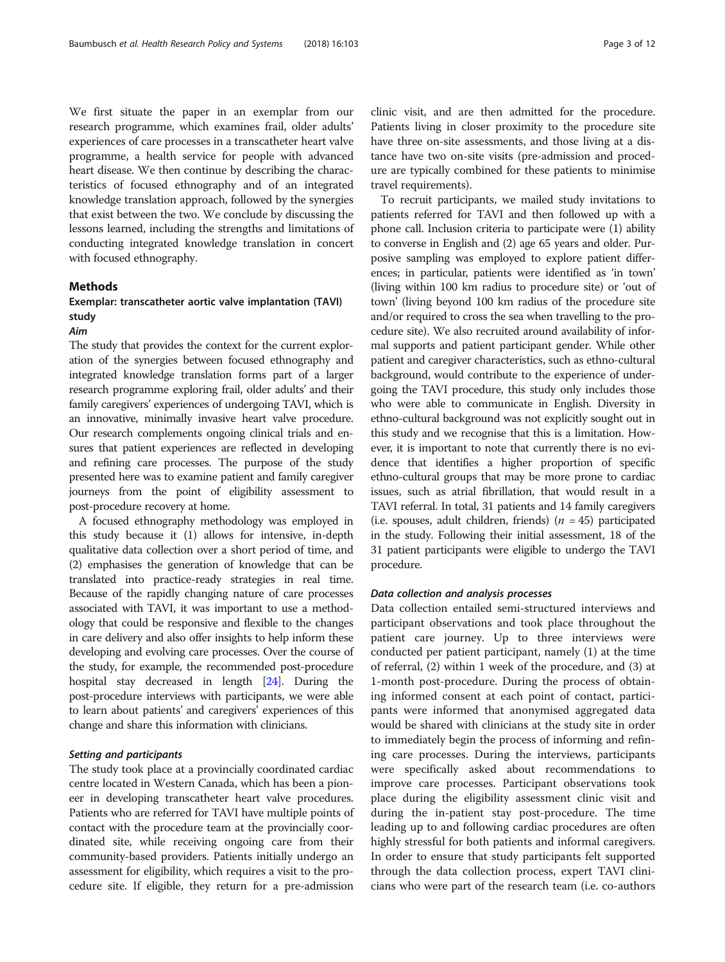We first situate the paper in an exemplar from our research programme, which examines frail, older adults' experiences of care processes in a transcatheter heart valve programme, a health service for people with advanced heart disease. We then continue by describing the characteristics of focused ethnography and of an integrated knowledge translation approach, followed by the synergies that exist between the two. We conclude by discussing the lessons learned, including the strengths and limitations of conducting integrated knowledge translation in concert with focused ethnography.

## **Methods**

## Exemplar: transcatheter aortic valve implantation (TAVI) study

#### Aim

The study that provides the context for the current exploration of the synergies between focused ethnography and integrated knowledge translation forms part of a larger research programme exploring frail, older adults' and their family caregivers' experiences of undergoing TAVI, which is an innovative, minimally invasive heart valve procedure. Our research complements ongoing clinical trials and ensures that patient experiences are reflected in developing and refining care processes. The purpose of the study presented here was to examine patient and family caregiver journeys from the point of eligibility assessment to post-procedure recovery at home.

A focused ethnography methodology was employed in this study because it (1) allows for intensive, in-depth qualitative data collection over a short period of time, and (2) emphasises the generation of knowledge that can be translated into practice-ready strategies in real time. Because of the rapidly changing nature of care processes associated with TAVI, it was important to use a methodology that could be responsive and flexible to the changes in care delivery and also offer insights to help inform these developing and evolving care processes. Over the course of the study, for example, the recommended post-procedure hospital stay decreased in length [[24](#page-11-0)]. During the post-procedure interviews with participants, we were able to learn about patients' and caregivers' experiences of this change and share this information with clinicians.

## Setting and participants

The study took place at a provincially coordinated cardiac centre located in Western Canada, which has been a pioneer in developing transcatheter heart valve procedures. Patients who are referred for TAVI have multiple points of contact with the procedure team at the provincially coordinated site, while receiving ongoing care from their community-based providers. Patients initially undergo an assessment for eligibility, which requires a visit to the procedure site. If eligible, they return for a pre-admission

clinic visit, and are then admitted for the procedure. Patients living in closer proximity to the procedure site have three on-site assessments, and those living at a distance have two on-site visits (pre-admission and procedure are typically combined for these patients to minimise travel requirements).

To recruit participants, we mailed study invitations to patients referred for TAVI and then followed up with a phone call. Inclusion criteria to participate were (1) ability to converse in English and (2) age 65 years and older. Purposive sampling was employed to explore patient differences; in particular, patients were identified as 'in town' (living within 100 km radius to procedure site) or 'out of town' (living beyond 100 km radius of the procedure site and/or required to cross the sea when travelling to the procedure site). We also recruited around availability of informal supports and patient participant gender. While other patient and caregiver characteristics, such as ethno-cultural background, would contribute to the experience of undergoing the TAVI procedure, this study only includes those who were able to communicate in English. Diversity in ethno-cultural background was not explicitly sought out in this study and we recognise that this is a limitation. However, it is important to note that currently there is no evidence that identifies a higher proportion of specific ethno-cultural groups that may be more prone to cardiac issues, such as atrial fibrillation, that would result in a TAVI referral. In total, 31 patients and 14 family caregivers (i.e. spouses, adult children, friends) ( $n = 45$ ) participated in the study. Following their initial assessment, 18 of the 31 patient participants were eligible to undergo the TAVI procedure.

## Data collection and analysis processes

Data collection entailed semi-structured interviews and participant observations and took place throughout the patient care journey. Up to three interviews were conducted per patient participant, namely (1) at the time of referral, (2) within 1 week of the procedure, and (3) at 1-month post-procedure. During the process of obtaining informed consent at each point of contact, participants were informed that anonymised aggregated data would be shared with clinicians at the study site in order to immediately begin the process of informing and refining care processes. During the interviews, participants were specifically asked about recommendations to improve care processes. Participant observations took place during the eligibility assessment clinic visit and during the in-patient stay post-procedure. The time leading up to and following cardiac procedures are often highly stressful for both patients and informal caregivers. In order to ensure that study participants felt supported through the data collection process, expert TAVI clinicians who were part of the research team (i.e. co-authors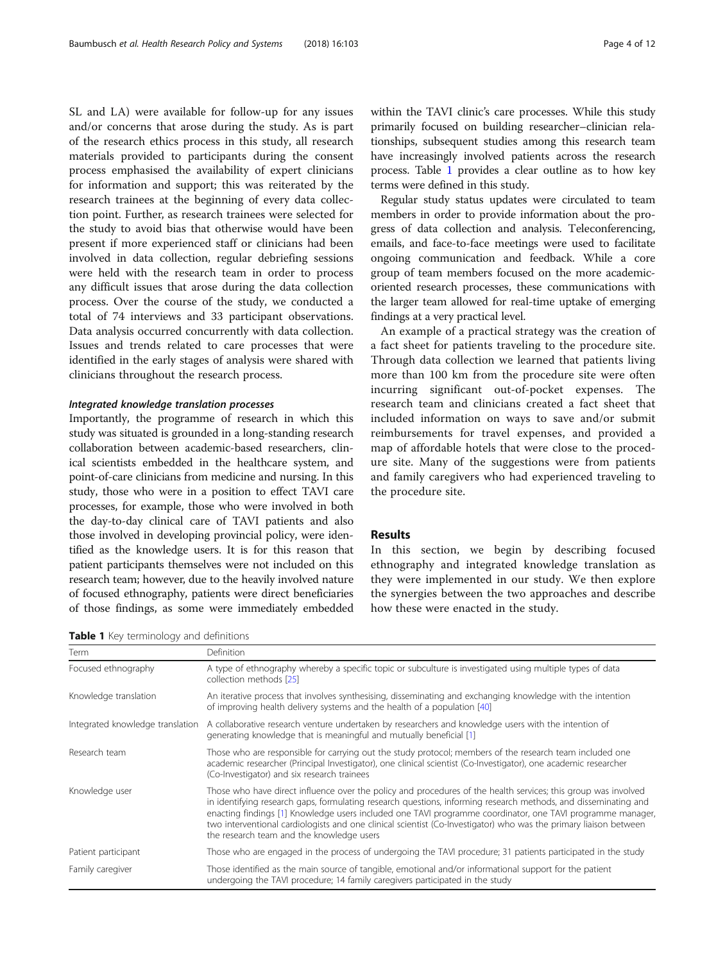<span id="page-3-0"></span>SL and LA) were available for follow-up for any issues and/or concerns that arose during the study. As is part of the research ethics process in this study, all research materials provided to participants during the consent process emphasised the availability of expert clinicians for information and support; this was reiterated by the research trainees at the beginning of every data collection point. Further, as research trainees were selected for the study to avoid bias that otherwise would have been present if more experienced staff or clinicians had been involved in data collection, regular debriefing sessions were held with the research team in order to process any difficult issues that arose during the data collection process. Over the course of the study, we conducted a total of 74 interviews and 33 participant observations. Data analysis occurred concurrently with data collection. Issues and trends related to care processes that were identified in the early stages of analysis were shared with clinicians throughout the research process.

## Integrated knowledge translation processes

Importantly, the programme of research in which this study was situated is grounded in a long-standing research collaboration between academic-based researchers, clinical scientists embedded in the healthcare system, and point-of-care clinicians from medicine and nursing. In this study, those who were in a position to effect TAVI care processes, for example, those who were involved in both the day-to-day clinical care of TAVI patients and also those involved in developing provincial policy, were identified as the knowledge users. It is for this reason that patient participants themselves were not included on this research team; however, due to the heavily involved nature of focused ethnography, patients were direct beneficiaries of those findings, as some were immediately embedded within the TAVI clinic's care processes. While this study primarily focused on building researcher–clinician relationships, subsequent studies among this research team have increasingly involved patients across the research process. Table 1 provides a clear outline as to how key terms were defined in this study.

Regular study status updates were circulated to team members in order to provide information about the progress of data collection and analysis. Teleconferencing, emails, and face-to-face meetings were used to facilitate ongoing communication and feedback. While a core group of team members focused on the more academicoriented research processes, these communications with the larger team allowed for real-time uptake of emerging findings at a very practical level.

An example of a practical strategy was the creation of a fact sheet for patients traveling to the procedure site. Through data collection we learned that patients living more than 100 km from the procedure site were often incurring significant out-of-pocket expenses. The research team and clinicians created a fact sheet that included information on ways to save and/or submit reimbursements for travel expenses, and provided a map of affordable hotels that were close to the procedure site. Many of the suggestions were from patients and family caregivers who had experienced traveling to the procedure site.

#### Results

In this section, we begin by describing focused ethnography and integrated knowledge translation as they were implemented in our study. We then explore the synergies between the two approaches and describe how these were enacted in the study.

Table 1 Key terminology and definitions

| Term                             | Definition                                                                                                                                                                                                                                                                                                                                                                                                                                                                                                        |  |  |
|----------------------------------|-------------------------------------------------------------------------------------------------------------------------------------------------------------------------------------------------------------------------------------------------------------------------------------------------------------------------------------------------------------------------------------------------------------------------------------------------------------------------------------------------------------------|--|--|
| Focused ethnography              | A type of ethnography whereby a specific topic or subculture is investigated using multiple types of data<br>collection methods [25]                                                                                                                                                                                                                                                                                                                                                                              |  |  |
| Knowledge translation            | An iterative process that involves synthesising, disseminating and exchanging knowledge with the intention<br>of improving health delivery systems and the health of a population [40]                                                                                                                                                                                                                                                                                                                            |  |  |
| Integrated knowledge translation | A collaborative research venture undertaken by researchers and knowledge users with the intention of<br>generating knowledge that is meaningful and mutually beneficial [1]                                                                                                                                                                                                                                                                                                                                       |  |  |
| Research team                    | Those who are responsible for carrying out the study protocol; members of the research team included one<br>academic researcher (Principal Investigator), one clinical scientist (Co-Investigator), one academic researcher<br>(Co-Investigator) and six research trainees                                                                                                                                                                                                                                        |  |  |
| Knowledge user                   | Those who have direct influence over the policy and procedures of the health services; this group was involved<br>in identifying research gaps, formulating research questions, informing research methods, and disseminating and<br>enacting findings [1] Knowledge users included one TAVI programme coordinator, one TAVI programme manager,<br>two interventional cardiologists and one clinical scientist (Co-Investigator) who was the primary liaison between<br>the research team and the knowledge users |  |  |
| Patient participant              | Those who are engaged in the process of undergoing the TAVI procedure; 31 patients participated in the study                                                                                                                                                                                                                                                                                                                                                                                                      |  |  |
| Family caregiver                 | Those identified as the main source of tangible, emotional and/or informational support for the patient<br>undergoing the TAVI procedure; 14 family caregivers participated in the study                                                                                                                                                                                                                                                                                                                          |  |  |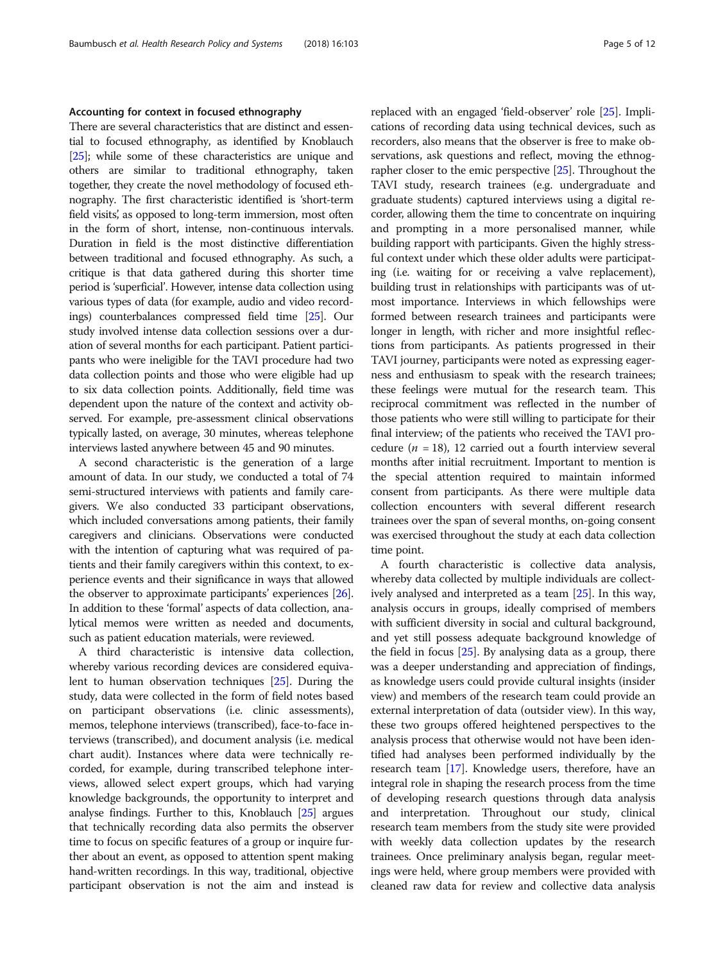## Accounting for context in focused ethnography

There are several characteristics that are distinct and essential to focused ethnography, as identified by Knoblauch [[25](#page-11-0)]; while some of these characteristics are unique and others are similar to traditional ethnography, taken together, they create the novel methodology of focused ethnography. The first characteristic identified is 'short-term field visits, as opposed to long-term immersion, most often in the form of short, intense, non-continuous intervals. Duration in field is the most distinctive differentiation between traditional and focused ethnography. As such, a critique is that data gathered during this shorter time period is 'superficial'. However, intense data collection using various types of data (for example, audio and video recordings) counterbalances compressed field time [[25](#page-11-0)]. Our study involved intense data collection sessions over a duration of several months for each participant. Patient participants who were ineligible for the TAVI procedure had two data collection points and those who were eligible had up to six data collection points. Additionally, field time was dependent upon the nature of the context and activity observed. For example, pre-assessment clinical observations typically lasted, on average, 30 minutes, whereas telephone interviews lasted anywhere between 45 and 90 minutes.

A second characteristic is the generation of a large amount of data. In our study, we conducted a total of 74 semi-structured interviews with patients and family caregivers. We also conducted 33 participant observations, which included conversations among patients, their family caregivers and clinicians. Observations were conducted with the intention of capturing what was required of patients and their family caregivers within this context, to experience events and their significance in ways that allowed the observer to approximate participants' experiences [\[26](#page-11-0)]. In addition to these 'formal' aspects of data collection, analytical memos were written as needed and documents, such as patient education materials, were reviewed.

A third characteristic is intensive data collection, whereby various recording devices are considered equivalent to human observation techniques [\[25\]](#page-11-0). During the study, data were collected in the form of field notes based on participant observations (i.e. clinic assessments), memos, telephone interviews (transcribed), face-to-face interviews (transcribed), and document analysis (i.e. medical chart audit). Instances where data were technically recorded, for example, during transcribed telephone interviews, allowed select expert groups, which had varying knowledge backgrounds, the opportunity to interpret and analyse findings. Further to this, Knoblauch [[25](#page-11-0)] argues that technically recording data also permits the observer time to focus on specific features of a group or inquire further about an event, as opposed to attention spent making hand-written recordings. In this way, traditional, objective participant observation is not the aim and instead is

replaced with an engaged 'field-observer' role [[25](#page-11-0)]. Implications of recording data using technical devices, such as recorders, also means that the observer is free to make observations, ask questions and reflect, moving the ethnographer closer to the emic perspective [[25](#page-11-0)]. Throughout the TAVI study, research trainees (e.g. undergraduate and graduate students) captured interviews using a digital recorder, allowing them the time to concentrate on inquiring and prompting in a more personalised manner, while building rapport with participants. Given the highly stressful context under which these older adults were participating (i.e. waiting for or receiving a valve replacement), building trust in relationships with participants was of utmost importance. Interviews in which fellowships were formed between research trainees and participants were longer in length, with richer and more insightful reflections from participants. As patients progressed in their TAVI journey, participants were noted as expressing eagerness and enthusiasm to speak with the research trainees; these feelings were mutual for the research team. This reciprocal commitment was reflected in the number of those patients who were still willing to participate for their final interview; of the patients who received the TAVI procedure ( $n = 18$ ), 12 carried out a fourth interview several months after initial recruitment. Important to mention is the special attention required to maintain informed consent from participants. As there were multiple data collection encounters with several different research trainees over the span of several months, on-going consent was exercised throughout the study at each data collection time point.

A fourth characteristic is collective data analysis, whereby data collected by multiple individuals are collectively analysed and interpreted as a team [[25](#page-11-0)]. In this way, analysis occurs in groups, ideally comprised of members with sufficient diversity in social and cultural background, and yet still possess adequate background knowledge of the field in focus [\[25\]](#page-11-0). By analysing data as a group, there was a deeper understanding and appreciation of findings, as knowledge users could provide cultural insights (insider view) and members of the research team could provide an external interpretation of data (outsider view). In this way, these two groups offered heightened perspectives to the analysis process that otherwise would not have been identified had analyses been performed individually by the research team [\[17\]](#page-11-0). Knowledge users, therefore, have an integral role in shaping the research process from the time of developing research questions through data analysis and interpretation. Throughout our study, clinical research team members from the study site were provided with weekly data collection updates by the research trainees. Once preliminary analysis began, regular meetings were held, where group members were provided with cleaned raw data for review and collective data analysis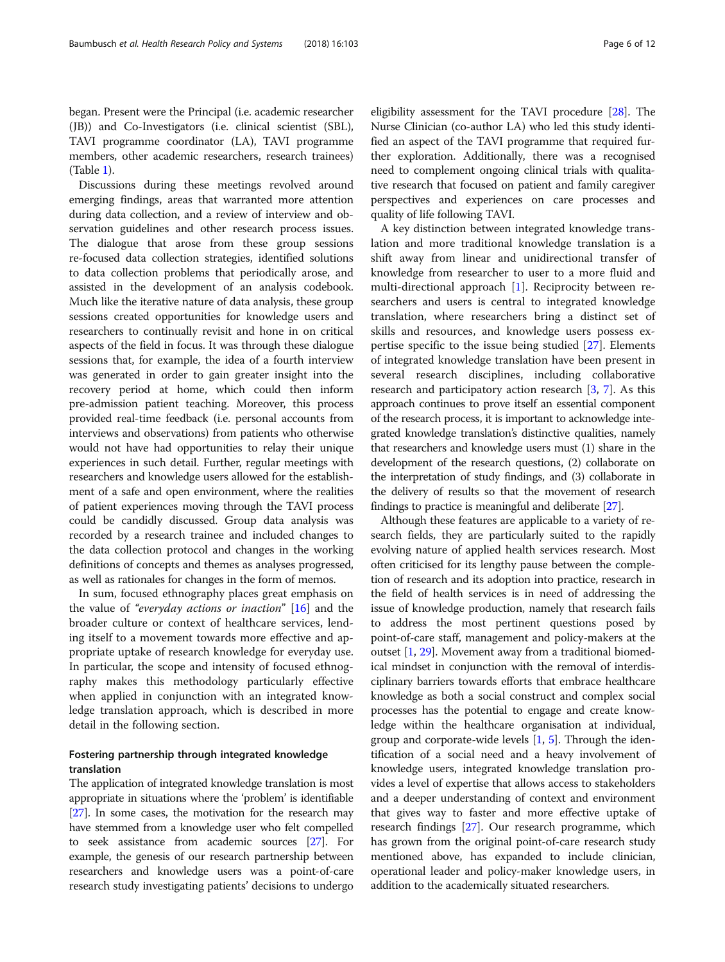began. Present were the Principal (i.e. academic researcher (JB)) and Co-Investigators (i.e. clinical scientist (SBL), TAVI programme coordinator (LA), TAVI programme members, other academic researchers, research trainees) (Table [1\)](#page-3-0).

Discussions during these meetings revolved around emerging findings, areas that warranted more attention during data collection, and a review of interview and observation guidelines and other research process issues. The dialogue that arose from these group sessions re-focused data collection strategies, identified solutions to data collection problems that periodically arose, and assisted in the development of an analysis codebook. Much like the iterative nature of data analysis, these group sessions created opportunities for knowledge users and researchers to continually revisit and hone in on critical aspects of the field in focus. It was through these dialogue sessions that, for example, the idea of a fourth interview was generated in order to gain greater insight into the recovery period at home, which could then inform pre-admission patient teaching. Moreover, this process provided real-time feedback (i.e. personal accounts from interviews and observations) from patients who otherwise would not have had opportunities to relay their unique experiences in such detail. Further, regular meetings with researchers and knowledge users allowed for the establishment of a safe and open environment, where the realities of patient experiences moving through the TAVI process could be candidly discussed. Group data analysis was recorded by a research trainee and included changes to the data collection protocol and changes in the working definitions of concepts and themes as analyses progressed, as well as rationales for changes in the form of memos.

In sum, focused ethnography places great emphasis on the value of "everyday actions or inaction" [[16\]](#page-11-0) and the broader culture or context of healthcare services, lending itself to a movement towards more effective and appropriate uptake of research knowledge for everyday use. In particular, the scope and intensity of focused ethnography makes this methodology particularly effective when applied in conjunction with an integrated knowledge translation approach, which is described in more detail in the following section.

## Fostering partnership through integrated knowledge translation

The application of integrated knowledge translation is most appropriate in situations where the 'problem' is identifiable [[27](#page-11-0)]. In some cases, the motivation for the research may have stemmed from a knowledge user who felt compelled to seek assistance from academic sources [[27](#page-11-0)]. For example, the genesis of our research partnership between researchers and knowledge users was a point-of-care research study investigating patients' decisions to undergo

eligibility assessment for the TAVI procedure [\[28\]](#page-11-0). The Nurse Clinician (co-author LA) who led this study identified an aspect of the TAVI programme that required further exploration. Additionally, there was a recognised need to complement ongoing clinical trials with qualitative research that focused on patient and family caregiver perspectives and experiences on care processes and quality of life following TAVI.

A key distinction between integrated knowledge translation and more traditional knowledge translation is a shift away from linear and unidirectional transfer of knowledge from researcher to user to a more fluid and multi-directional approach [\[1](#page-10-0)]. Reciprocity between researchers and users is central to integrated knowledge translation, where researchers bring a distinct set of skills and resources, and knowledge users possess expertise specific to the issue being studied [\[27](#page-11-0)]. Elements of integrated knowledge translation have been present in several research disciplines, including collaborative research and participatory action research [\[3](#page-10-0), [7\]](#page-11-0). As this approach continues to prove itself an essential component of the research process, it is important to acknowledge integrated knowledge translation's distinctive qualities, namely that researchers and knowledge users must (1) share in the development of the research questions, (2) collaborate on the interpretation of study findings, and (3) collaborate in the delivery of results so that the movement of research findings to practice is meaningful and deliberate [\[27\]](#page-11-0).

Although these features are applicable to a variety of research fields, they are particularly suited to the rapidly evolving nature of applied health services research. Most often criticised for its lengthy pause between the completion of research and its adoption into practice, research in the field of health services is in need of addressing the issue of knowledge production, namely that research fails to address the most pertinent questions posed by point-of-care staff, management and policy-makers at the outset [\[1,](#page-10-0) [29\]](#page-11-0). Movement away from a traditional biomedical mindset in conjunction with the removal of interdisciplinary barriers towards efforts that embrace healthcare knowledge as both a social construct and complex social processes has the potential to engage and create knowledge within the healthcare organisation at individual, group and corporate-wide levels [[1,](#page-10-0) [5\]](#page-11-0). Through the identification of a social need and a heavy involvement of knowledge users, integrated knowledge translation provides a level of expertise that allows access to stakeholders and a deeper understanding of context and environment that gives way to faster and more effective uptake of research findings [\[27\]](#page-11-0). Our research programme, which has grown from the original point-of-care research study mentioned above, has expanded to include clinician, operational leader and policy-maker knowledge users, in addition to the academically situated researchers.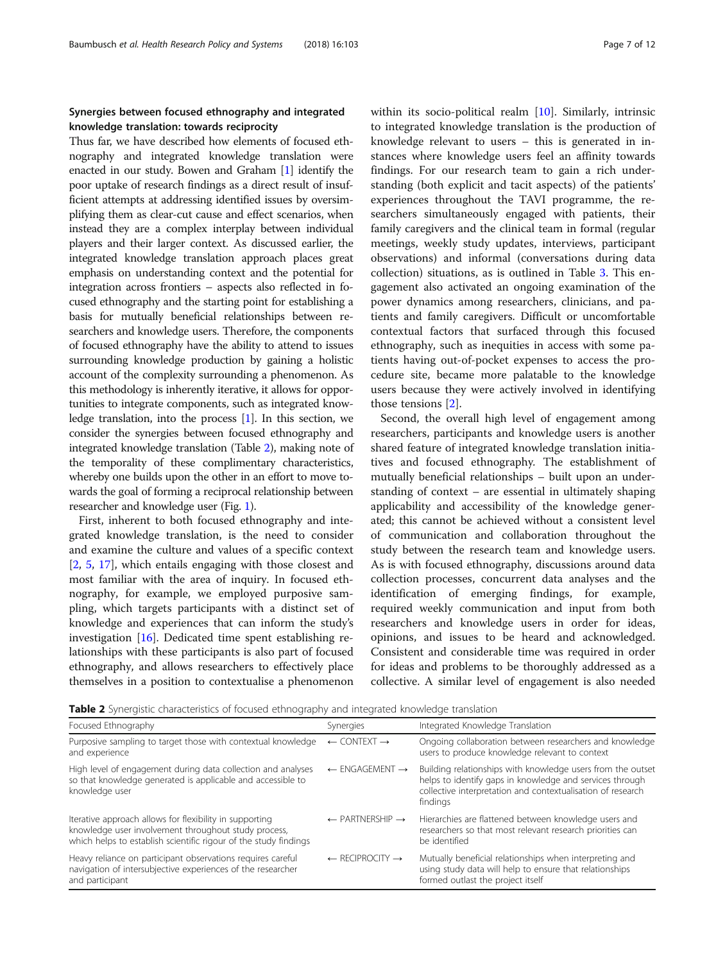## Synergies between focused ethnography and integrated knowledge translation: towards reciprocity

Thus far, we have described how elements of focused ethnography and integrated knowledge translation were enacted in our study. Bowen and Graham [[1](#page-10-0)] identify the poor uptake of research findings as a direct result of insufficient attempts at addressing identified issues by oversimplifying them as clear-cut cause and effect scenarios, when instead they are a complex interplay between individual players and their larger context. As discussed earlier, the integrated knowledge translation approach places great emphasis on understanding context and the potential for integration across frontiers – aspects also reflected in focused ethnography and the starting point for establishing a basis for mutually beneficial relationships between researchers and knowledge users. Therefore, the components of focused ethnography have the ability to attend to issues surrounding knowledge production by gaining a holistic account of the complexity surrounding a phenomenon. As this methodology is inherently iterative, it allows for opportunities to integrate components, such as integrated knowledge translation, into the process [\[1](#page-10-0)]. In this section, we consider the synergies between focused ethnography and integrated knowledge translation (Table 2), making note of the temporality of these complimentary characteristics, whereby one builds upon the other in an effort to move towards the goal of forming a reciprocal relationship between researcher and knowledge user (Fig. [1\)](#page-7-0).

First, inherent to both focused ethnography and integrated knowledge translation, is the need to consider and examine the culture and values of a specific context [[2,](#page-10-0) [5](#page-11-0), [17\]](#page-11-0), which entails engaging with those closest and most familiar with the area of inquiry. In focused ethnography, for example, we employed purposive sampling, which targets participants with a distinct set of knowledge and experiences that can inform the study's investigation [\[16](#page-11-0)]. Dedicated time spent establishing relationships with these participants is also part of focused ethnography, and allows researchers to effectively place themselves in a position to contextualise a phenomenon

within its socio-political realm [\[10](#page-11-0)]. Similarly, intrinsic to integrated knowledge translation is the production of knowledge relevant to users – this is generated in instances where knowledge users feel an affinity towards findings. For our research team to gain a rich understanding (both explicit and tacit aspects) of the patients' experiences throughout the TAVI programme, the researchers simultaneously engaged with patients, their family caregivers and the clinical team in formal (regular meetings, weekly study updates, interviews, participant observations) and informal (conversations during data collection) situations, as is outlined in Table [3.](#page-8-0) This engagement also activated an ongoing examination of the power dynamics among researchers, clinicians, and patients and family caregivers. Difficult or uncomfortable contextual factors that surfaced through this focused ethnography, such as inequities in access with some patients having out-of-pocket expenses to access the procedure site, became more palatable to the knowledge users because they were actively involved in identifying those tensions [\[2](#page-10-0)].

Second, the overall high level of engagement among researchers, participants and knowledge users is another shared feature of integrated knowledge translation initiatives and focused ethnography. The establishment of mutually beneficial relationships – built upon an understanding of context – are essential in ultimately shaping applicability and accessibility of the knowledge generated; this cannot be achieved without a consistent level of communication and collaboration throughout the study between the research team and knowledge users. As is with focused ethnography, discussions around data collection processes, concurrent data analyses and the identification of emerging findings, for example, required weekly communication and input from both researchers and knowledge users in order for ideas, opinions, and issues to be heard and acknowledged. Consistent and considerable time was required in order for ideas and problems to be thoroughly addressed as a collective. A similar level of engagement is also needed

Table 2 Synergistic characteristics of focused ethnography and integrated knowledge translation

| Focused Ethnography                                                                                                                                                                 | Synergies                              | Integrated Knowledge Translation                                                                                                                                                                   |
|-------------------------------------------------------------------------------------------------------------------------------------------------------------------------------------|----------------------------------------|----------------------------------------------------------------------------------------------------------------------------------------------------------------------------------------------------|
| Purposive sampling to target those with contextual knowledge<br>and experience                                                                                                      | $\leftarrow$ CONTEXT $\rightarrow$     | Ongoing collaboration between researchers and knowledge<br>users to produce knowledge relevant to context                                                                                          |
| High level of engagement during data collection and analyses<br>so that knowledge generated is applicable and accessible to<br>knowledge user                                       | $\leftarrow$ ENGAGEMENT $\rightarrow$  | Building relationships with knowledge users from the outset<br>helps to identify gaps in knowledge and services through<br>collective interpretation and contextualisation of research<br>findings |
| Iterative approach allows for flexibility in supporting<br>knowledge user involvement throughout study process,<br>which helps to establish scientific rigour of the study findings | $\leftarrow$ PARTNERSHIP $\rightarrow$ | Hierarchies are flattened between knowledge users and<br>researchers so that most relevant research priorities can<br>be identified                                                                |
| Heavy reliance on participant observations requires careful<br>navigation of intersubjective experiences of the researcher<br>and participant                                       | $\leftarrow$ RECIPROCITY $\rightarrow$ | Mutually beneficial relationships when interpreting and<br>using study data will help to ensure that relationships<br>formed outlast the project itself                                            |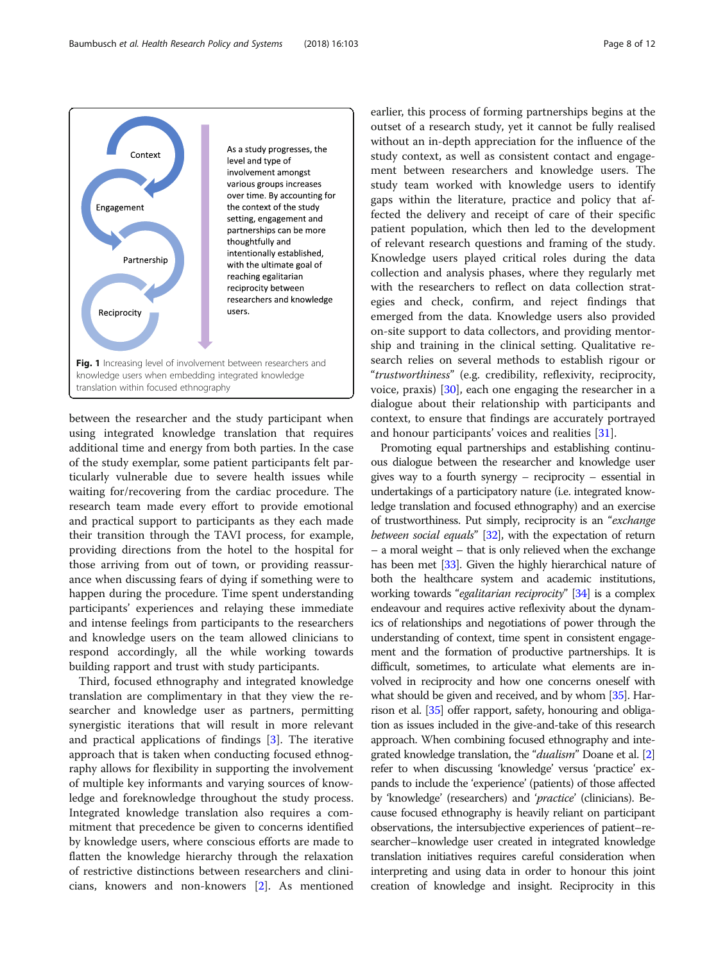<span id="page-7-0"></span>

between the researcher and the study participant when using integrated knowledge translation that requires additional time and energy from both parties. In the case of the study exemplar, some patient participants felt particularly vulnerable due to severe health issues while waiting for/recovering from the cardiac procedure. The research team made every effort to provide emotional and practical support to participants as they each made their transition through the TAVI process, for example, providing directions from the hotel to the hospital for those arriving from out of town, or providing reassurance when discussing fears of dying if something were to happen during the procedure. Time spent understanding participants' experiences and relaying these immediate and intense feelings from participants to the researchers and knowledge users on the team allowed clinicians to respond accordingly, all the while working towards building rapport and trust with study participants.

Third, focused ethnography and integrated knowledge translation are complimentary in that they view the researcher and knowledge user as partners, permitting synergistic iterations that will result in more relevant and practical applications of findings  $[3]$  $[3]$ . The iterative approach that is taken when conducting focused ethnography allows for flexibility in supporting the involvement of multiple key informants and varying sources of knowledge and foreknowledge throughout the study process. Integrated knowledge translation also requires a commitment that precedence be given to concerns identified by knowledge users, where conscious efforts are made to flatten the knowledge hierarchy through the relaxation of restrictive distinctions between researchers and clinicians, knowers and non-knowers [\[2](#page-10-0)]. As mentioned earlier, this process of forming partnerships begins at the outset of a research study, yet it cannot be fully realised without an in-depth appreciation for the influence of the study context, as well as consistent contact and engagement between researchers and knowledge users. The study team worked with knowledge users to identify gaps within the literature, practice and policy that affected the delivery and receipt of care of their specific patient population, which then led to the development of relevant research questions and framing of the study. Knowledge users played critical roles during the data collection and analysis phases, where they regularly met with the researchers to reflect on data collection strategies and check, confirm, and reject findings that emerged from the data. Knowledge users also provided on-site support to data collectors, and providing mentorship and training in the clinical setting. Qualitative research relies on several methods to establish rigour or "trustworthiness" (e.g. credibility, reflexivity, reciprocity, voice, praxis) [[30\]](#page-11-0), each one engaging the researcher in a dialogue about their relationship with participants and context, to ensure that findings are accurately portrayed and honour participants' voices and realities [[31\]](#page-11-0).

Promoting equal partnerships and establishing continuous dialogue between the researcher and knowledge user gives way to a fourth synergy – reciprocity – essential in undertakings of a participatory nature (i.e. integrated knowledge translation and focused ethnography) and an exercise of trustworthiness. Put simply, reciprocity is an "exchange between social equals" [\[32\]](#page-11-0), with the expectation of return – a moral weight – that is only relieved when the exchange has been met [\[33\]](#page-11-0). Given the highly hierarchical nature of both the healthcare system and academic institutions, working towards "egalitarian reciprocity" [[34](#page-11-0)] is a complex endeavour and requires active reflexivity about the dynamics of relationships and negotiations of power through the understanding of context, time spent in consistent engagement and the formation of productive partnerships. It is difficult, sometimes, to articulate what elements are involved in reciprocity and how one concerns oneself with what should be given and received, and by whom [\[35\]](#page-11-0). Harrison et al. [\[35\]](#page-11-0) offer rapport, safety, honouring and obligation as issues included in the give-and-take of this research approach. When combining focused ethnography and inte-grated knowledge translation, the "dualism" Doane et al. [[2](#page-10-0)] refer to when discussing 'knowledge' versus 'practice' expands to include the 'experience' (patients) of those affected by 'knowledge' (researchers) and '*practice*' (clinicians). Because focused ethnography is heavily reliant on participant observations, the intersubjective experiences of patient–researcher–knowledge user created in integrated knowledge translation initiatives requires careful consideration when interpreting and using data in order to honour this joint creation of knowledge and insight. Reciprocity in this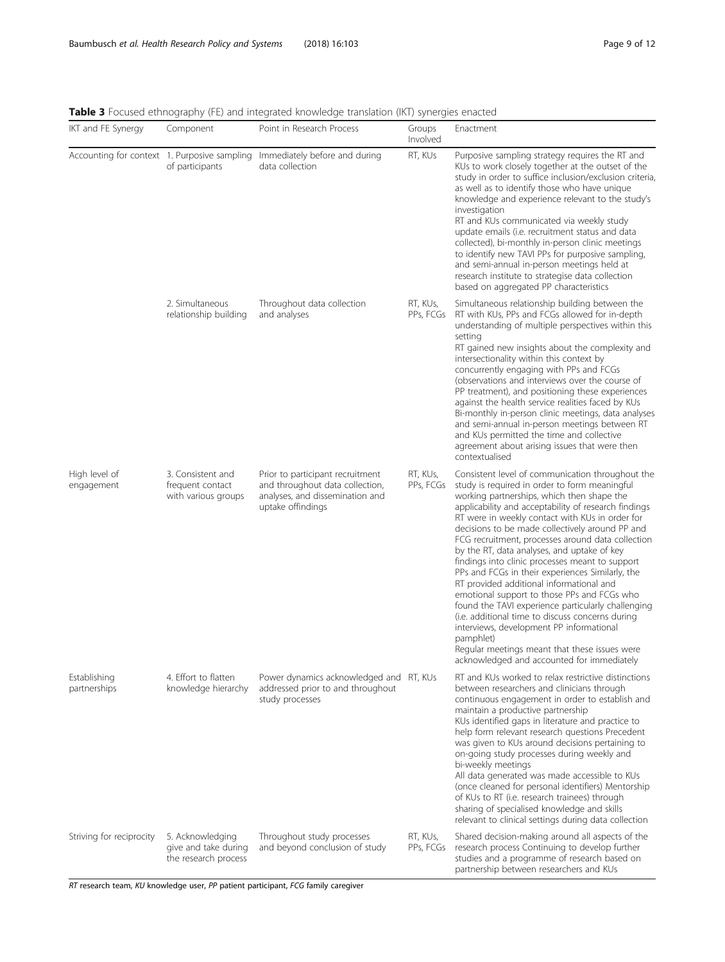| IKT and FE Synergy                           | Component                                                        | <b>Papie 3</b> Focuscul cumoqraphy (FE) and integrated miowicage translation (intr) syncropes chaeted<br>Point in Research Process | Groups<br>Involved    | Enactment                                                                                                                                                                                                                                                                                                                                                                                                                                                                                                                                                                                                                                                                                                                                                                                                                                                                             |
|----------------------------------------------|------------------------------------------------------------------|------------------------------------------------------------------------------------------------------------------------------------|-----------------------|---------------------------------------------------------------------------------------------------------------------------------------------------------------------------------------------------------------------------------------------------------------------------------------------------------------------------------------------------------------------------------------------------------------------------------------------------------------------------------------------------------------------------------------------------------------------------------------------------------------------------------------------------------------------------------------------------------------------------------------------------------------------------------------------------------------------------------------------------------------------------------------|
| Accounting for context 1. Purposive sampling | of participants                                                  | Immediately before and during<br>data collection                                                                                   | RT, KUs               | Purposive sampling strategy requires the RT and<br>KUs to work closely together at the outset of the<br>study in order to suffice inclusion/exclusion criteria,<br>as well as to identify those who have unique<br>knowledge and experience relevant to the study's<br>investigation<br>RT and KUs communicated via weekly study<br>update emails (i.e. recruitment status and data<br>collected), bi-monthly in-person clinic meetings<br>to identify new TAVI PPs for purposive sampling,<br>and semi-annual in-person meetings held at<br>research institute to strategise data collection<br>based on aggregated PP characteristics                                                                                                                                                                                                                                               |
|                                              | 2. Simultaneous<br>relationship building                         | Throughout data collection<br>and analyses                                                                                         | RT, KUs,<br>PPs, FCGs | Simultaneous relationship building between the<br>RT with KUs, PPs and FCGs allowed for in-depth<br>understanding of multiple perspectives within this<br>setting<br>RT gained new insights about the complexity and<br>intersectionality within this context by<br>concurrently engaging with PPs and FCGs<br>(observations and interviews over the course of<br>PP treatment), and positioning these experiences<br>against the health service realities faced by KUs<br>Bi-monthly in-person clinic meetings, data analyses<br>and semi-annual in-person meetings between RT<br>and KUs permitted the time and collective<br>agreement about arising issues that were then<br>contextualised                                                                                                                                                                                       |
| High level of<br>engagement                  | 3. Consistent and<br>frequent contact<br>with various groups     | Prior to participant recruitment<br>and throughout data collection,<br>analyses, and dissemination and<br>uptake offindings        | RT, KUs,<br>PPs, FCGs | Consistent level of communication throughout the<br>study is required in order to form meaningful<br>working partnerships, which then shape the<br>applicability and acceptability of research findings<br>RT were in weekly contact with KUs in order for<br>decisions to be made collectively around PP and<br>FCG recruitment, processes around data collection<br>by the RT, data analyses, and uptake of key<br>findings into clinic processes meant to support<br>PPs and FCGs in their experiences Similarly, the<br>RT provided additional informational and<br>emotional support to those PPs and FCGs who<br>found the TAVI experience particularly challenging<br>(i.e. additional time to discuss concerns during<br>interviews, development PP informational<br>pamphlet)<br>Regular meetings meant that these issues were<br>acknowledged and accounted for immediately |
| Establishing<br>partnerships                 | 4. Effort to flatten<br>knowledge hierarchy                      | Power dynamics acknowledged and RT, KUs<br>addressed prior to and throughout<br>study processes                                    |                       | RT and KUs worked to relax restrictive distinctions<br>between researchers and clinicians through<br>continuous engagement in order to establish and<br>maintain a productive partnership<br>KUs identified gaps in literature and practice to<br>help form relevant research questions Precedent<br>was given to KUs around decisions pertaining to<br>on-going study processes during weekly and<br>bi-weekly meetings<br>All data generated was made accessible to KUs<br>(once cleaned for personal identifiers) Mentorship<br>of KUs to RT (i.e. research trainees) through<br>sharing of specialised knowledge and skills<br>relevant to clinical settings during data collection                                                                                                                                                                                               |
| Striving for reciprocity                     | 5. Acknowledging<br>give and take during<br>the research process | Throughout study processes<br>and beyond conclusion of study                                                                       | RT, KUs,<br>PPs, FCGs | Shared decision-making around all aspects of the<br>research process Continuing to develop further<br>studies and a programme of research based on<br>partnership between researchers and KUs                                                                                                                                                                                                                                                                                                                                                                                                                                                                                                                                                                                                                                                                                         |

<span id="page-8-0"></span>Table 3 Focused ethnography (FE) and integrated knowledge translation (IKT) synergies enacted

RT research team, KU knowledge user, PP patient participant, FCG family caregiver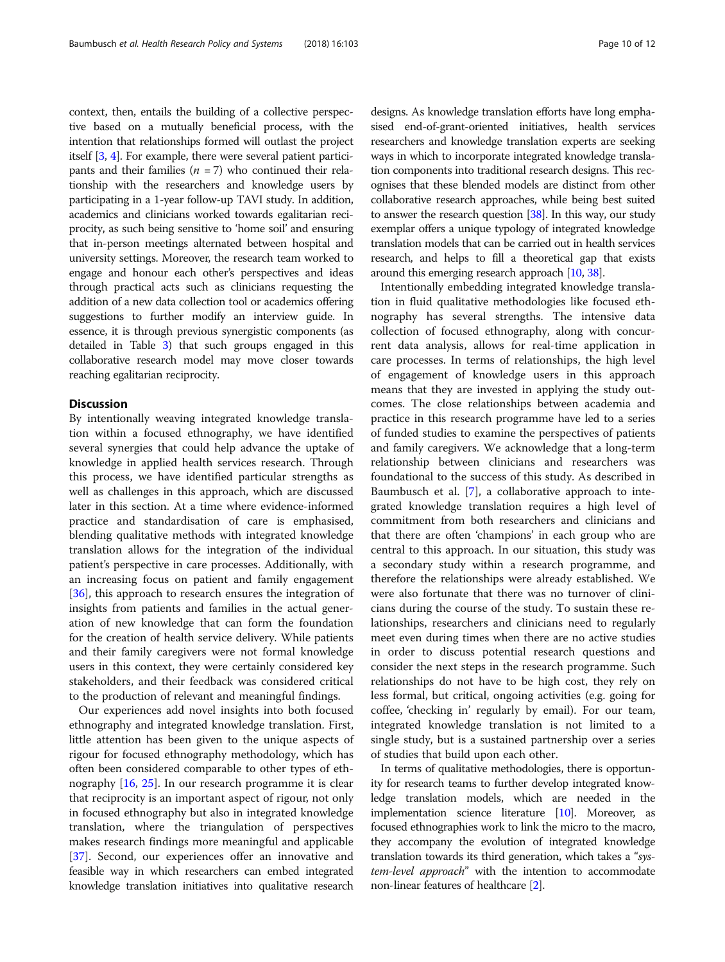context, then, entails the building of a collective perspective based on a mutually beneficial process, with the intention that relationships formed will outlast the project itself [\[3,](#page-10-0) [4\]](#page-10-0). For example, there were several patient participants and their families  $(n = 7)$  who continued their relationship with the researchers and knowledge users by participating in a 1-year follow-up TAVI study. In addition, academics and clinicians worked towards egalitarian reciprocity, as such being sensitive to 'home soil' and ensuring that in-person meetings alternated between hospital and university settings. Moreover, the research team worked to engage and honour each other's perspectives and ideas through practical acts such as clinicians requesting the addition of a new data collection tool or academics offering suggestions to further modify an interview guide. In essence, it is through previous synergistic components (as detailed in Table [3](#page-8-0)) that such groups engaged in this collaborative research model may move closer towards reaching egalitarian reciprocity.

## **Discussion**

By intentionally weaving integrated knowledge translation within a focused ethnography, we have identified several synergies that could help advance the uptake of knowledge in applied health services research. Through this process, we have identified particular strengths as well as challenges in this approach, which are discussed later in this section. At a time where evidence-informed practice and standardisation of care is emphasised, blending qualitative methods with integrated knowledge translation allows for the integration of the individual patient's perspective in care processes. Additionally, with an increasing focus on patient and family engagement [[36\]](#page-11-0), this approach to research ensures the integration of insights from patients and families in the actual generation of new knowledge that can form the foundation for the creation of health service delivery. While patients and their family caregivers were not formal knowledge users in this context, they were certainly considered key stakeholders, and their feedback was considered critical to the production of relevant and meaningful findings.

Our experiences add novel insights into both focused ethnography and integrated knowledge translation. First, little attention has been given to the unique aspects of rigour for focused ethnography methodology, which has often been considered comparable to other types of ethnography [\[16](#page-11-0), [25](#page-11-0)]. In our research programme it is clear that reciprocity is an important aspect of rigour, not only in focused ethnography but also in integrated knowledge translation, where the triangulation of perspectives makes research findings more meaningful and applicable [[37\]](#page-11-0). Second, our experiences offer an innovative and feasible way in which researchers can embed integrated knowledge translation initiatives into qualitative research

designs. As knowledge translation efforts have long emphasised end-of-grant-oriented initiatives, health services researchers and knowledge translation experts are seeking ways in which to incorporate integrated knowledge translation components into traditional research designs. This recognises that these blended models are distinct from other collaborative research approaches, while being best suited to answer the research question [[38](#page-11-0)]. In this way, our study exemplar offers a unique typology of integrated knowledge translation models that can be carried out in health services research, and helps to fill a theoretical gap that exists around this emerging research approach [[10](#page-11-0), [38](#page-11-0)].

Intentionally embedding integrated knowledge translation in fluid qualitative methodologies like focused ethnography has several strengths. The intensive data collection of focused ethnography, along with concurrent data analysis, allows for real-time application in care processes. In terms of relationships, the high level of engagement of knowledge users in this approach means that they are invested in applying the study outcomes. The close relationships between academia and practice in this research programme have led to a series of funded studies to examine the perspectives of patients and family caregivers. We acknowledge that a long-term relationship between clinicians and researchers was foundational to the success of this study. As described in Baumbusch et al. [\[7](#page-11-0)], a collaborative approach to integrated knowledge translation requires a high level of commitment from both researchers and clinicians and that there are often 'champions' in each group who are central to this approach. In our situation, this study was a secondary study within a research programme, and therefore the relationships were already established. We were also fortunate that there was no turnover of clinicians during the course of the study. To sustain these relationships, researchers and clinicians need to regularly meet even during times when there are no active studies in order to discuss potential research questions and consider the next steps in the research programme. Such relationships do not have to be high cost, they rely on less formal, but critical, ongoing activities (e.g. going for coffee, 'checking in' regularly by email). For our team, integrated knowledge translation is not limited to a single study, but is a sustained partnership over a series of studies that build upon each other.

In terms of qualitative methodologies, there is opportunity for research teams to further develop integrated knowledge translation models, which are needed in the implementation science literature [\[10\]](#page-11-0). Moreover, as focused ethnographies work to link the micro to the macro, they accompany the evolution of integrated knowledge translation towards its third generation, which takes a "system-level approach" with the intention to accommodate non-linear features of healthcare [\[2\]](#page-10-0).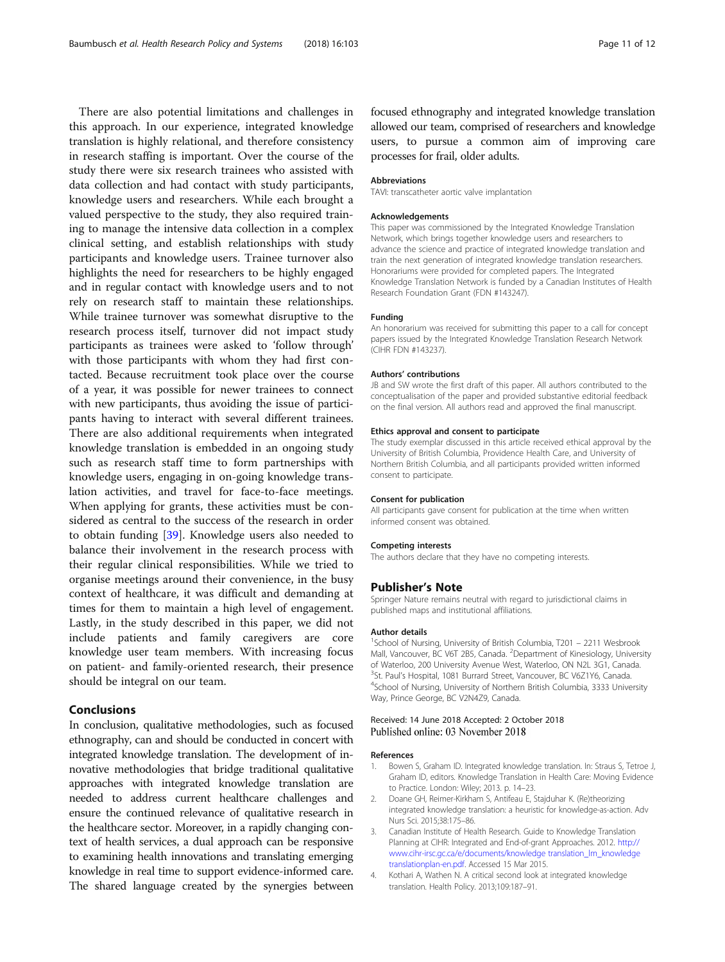<span id="page-10-0"></span>There are also potential limitations and challenges in this approach. In our experience, integrated knowledge translation is highly relational, and therefore consistency in research staffing is important. Over the course of the study there were six research trainees who assisted with data collection and had contact with study participants, knowledge users and researchers. While each brought a valued perspective to the study, they also required training to manage the intensive data collection in a complex clinical setting, and establish relationships with study participants and knowledge users. Trainee turnover also highlights the need for researchers to be highly engaged and in regular contact with knowledge users and to not rely on research staff to maintain these relationships. While trainee turnover was somewhat disruptive to the research process itself, turnover did not impact study participants as trainees were asked to 'follow through' with those participants with whom they had first contacted. Because recruitment took place over the course of a year, it was possible for newer trainees to connect with new participants, thus avoiding the issue of participants having to interact with several different trainees. There are also additional requirements when integrated knowledge translation is embedded in an ongoing study such as research staff time to form partnerships with knowledge users, engaging in on-going knowledge translation activities, and travel for face-to-face meetings. When applying for grants, these activities must be considered as central to the success of the research in order to obtain funding [[39\]](#page-11-0). Knowledge users also needed to balance their involvement in the research process with their regular clinical responsibilities. While we tried to organise meetings around their convenience, in the busy context of healthcare, it was difficult and demanding at times for them to maintain a high level of engagement. Lastly, in the study described in this paper, we did not include patients and family caregivers are core knowledge user team members. With increasing focus on patient- and family-oriented research, their presence should be integral on our team.

## Conclusions

In conclusion, qualitative methodologies, such as focused ethnography, can and should be conducted in concert with integrated knowledge translation. The development of innovative methodologies that bridge traditional qualitative approaches with integrated knowledge translation are needed to address current healthcare challenges and ensure the continued relevance of qualitative research in the healthcare sector. Moreover, in a rapidly changing context of health services, a dual approach can be responsive to examining health innovations and translating emerging knowledge in real time to support evidence-informed care. The shared language created by the synergies between focused ethnography and integrated knowledge translation allowed our team, comprised of researchers and knowledge users, to pursue a common aim of improving care processes for frail, older adults.

#### Abbreviations

TAVI: transcatheter aortic valve implantation

#### Acknowledgements

This paper was commissioned by the Integrated Knowledge Translation Network, which brings together knowledge users and researchers to advance the science and practice of integrated knowledge translation and train the next generation of integrated knowledge translation researchers. Honorariums were provided for completed papers. The Integrated Knowledge Translation Network is funded by a Canadian Institutes of Health Research Foundation Grant (FDN #143247).

#### Funding

An honorarium was received for submitting this paper to a call for concept papers issued by the Integrated Knowledge Translation Research Network (CIHR FDN #143237).

#### Authors' contributions

JB and SW wrote the first draft of this paper. All authors contributed to the conceptualisation of the paper and provided substantive editorial feedback on the final version. All authors read and approved the final manuscript.

## Ethics approval and consent to participate

The study exemplar discussed in this article received ethical approval by the University of British Columbia, Providence Health Care, and University of Northern British Columbia, and all participants provided written informed consent to participate.

#### Consent for publication

All participants gave consent for publication at the time when written informed consent was obtained.

#### Competing interests

The authors declare that they have no competing interests.

## Publisher's Note

Springer Nature remains neutral with regard to jurisdictional claims in published maps and institutional affiliations.

#### Author details

<sup>1</sup>School of Nursing, University of British Columbia, T201 - 2211 Wesbrook Mall, Vancouver, BC V6T 2B5, Canada. <sup>2</sup>Department of Kinesiology, University of Waterloo, 200 University Avenue West, Waterloo, ON N2L 3G1, Canada. <sup>3</sup> St. Paul's Hospital, 1081 Burrard Street, Vancouver, BC V6Z1Y6, Canada.<br><sup>4</sup> School of Nursing University of Northern British Columbia, 3333 Unive <sup>4</sup>School of Nursing, University of Northern British Columbia, 3333 University Way, Prince George, BC V2N4Z9, Canada.

## Received: 14 June 2018 Accepted: 2 October 2018 Published online: 03 November 2018

## References

- 1. Bowen S, Graham ID. Integrated knowledge translation. In: Straus S, Tetroe J, Graham ID, editors. Knowledge Translation in Health Care: Moving Evidence to Practice. London: Wiley; 2013. p. 14–23.
- 2. Doane GH, Reimer-Kirkham S, Antifeau E, Stajduhar K. (Re)theorizing integrated knowledge translation: a heuristic for knowledge-as-action. Adv Nurs Sci. 2015;38:175–86.
- 3. Canadian Institute of Health Research. Guide to Knowledge Translation Planning at CIHR: Integrated and End-of-grant Approaches. 2012. [http://](http://www.cihr-irsc.gc.ca/e/documents/kt_lm_ktplan-en.pdf) [www.cihr-irsc.gc.ca/e/documents/knowledge translation\\_lm\\_knowledge](http://www.cihr-irsc.gc.ca/e/documents/kt_lm_ktplan-en.pdf) [translationplan-en.pdf.](http://www.cihr-irsc.gc.ca/e/documents/kt_lm_ktplan-en.pdf) Accessed 15 Mar 2015.
- 4. Kothari A, Wathen N. A critical second look at integrated knowledge translation. Health Policy. 2013;109:187–91.